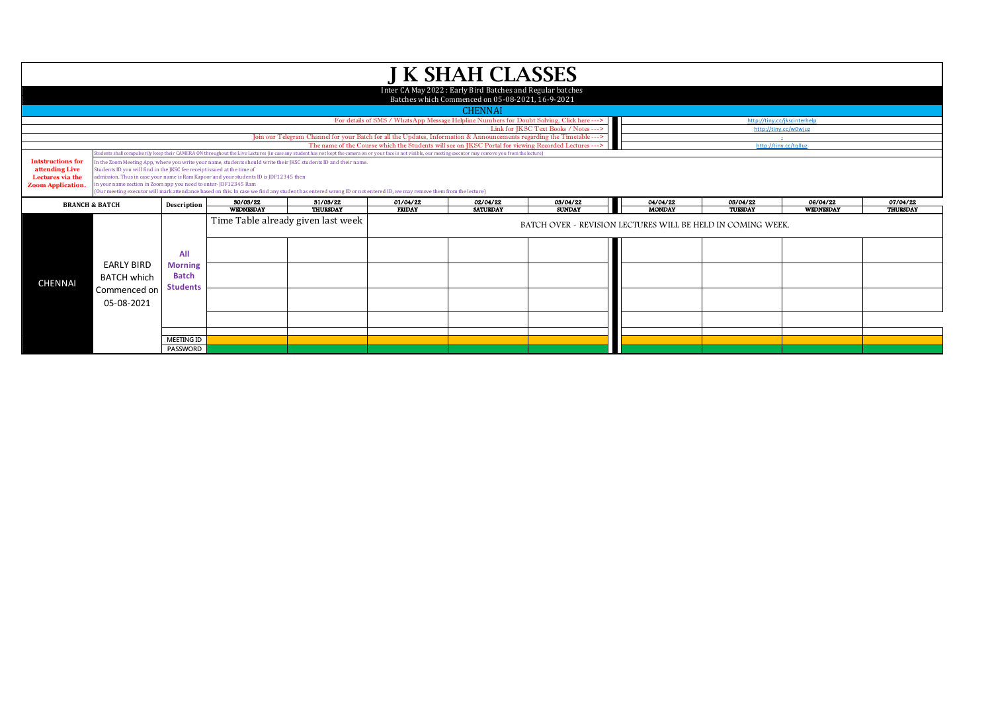|                          |                                                                         |                   |                                                                                       |                                                                                                                                                                                                                  |               | <b>J K SHAH CLASSES</b>                                                                                       |                                                             |               |          |                              |                 |
|--------------------------|-------------------------------------------------------------------------|-------------------|---------------------------------------------------------------------------------------|------------------------------------------------------------------------------------------------------------------------------------------------------------------------------------------------------------------|---------------|---------------------------------------------------------------------------------------------------------------|-------------------------------------------------------------|---------------|----------|------------------------------|-----------------|
|                          |                                                                         |                   |                                                                                       |                                                                                                                                                                                                                  |               |                                                                                                               |                                                             |               |          |                              |                 |
|                          |                                                                         |                   |                                                                                       |                                                                                                                                                                                                                  |               | Inter CA May 2022: Early Bird Batches and Regular batches<br>Batches which Commenced on 05-08-2021, 16-9-2021 |                                                             |               |          |                              |                 |
|                          |                                                                         |                   |                                                                                       |                                                                                                                                                                                                                  |               | <b>CHENNAI</b>                                                                                                |                                                             |               |          |                              |                 |
|                          |                                                                         |                   |                                                                                       |                                                                                                                                                                                                                  |               | For details of SMS / WhatsApp Message Helpline Numbers for Doubt Solving, Click here --->                     |                                                             |               |          | http://tiny.cc/jkscinterhelp |                 |
|                          |                                                                         |                   |                                                                                       |                                                                                                                                                                                                                  |               |                                                                                                               | Link for JKSC Text Books / Notes --->                       |               |          | http://tiny.cc/w0wjuz        |                 |
|                          |                                                                         |                   |                                                                                       | Join our Telegram Channel for your Batch for all the Updates, Information & Announcements regarding the Timetable --->                                                                                           |               |                                                                                                               |                                                             |               |          |                              |                 |
|                          |                                                                         |                   |                                                                                       |                                                                                                                                                                                                                  |               | The name of the Course which the Students will see on JKSC Portal for viewing Recorded Lectures --- >         |                                                             |               |          | http://tinv.cc/tallu:        |                 |
| <b>Intstructions for</b> |                                                                         |                   |                                                                                       | Students shall compulsorily keep their CAMERA ON throughout the Live Lectures (in case any student has not kept the camera on or your face is not visible, our meeting executor may remove you from the lecture) |               |                                                                                                               |                                                             |               |          |                              |                 |
| attending Live           | Students ID you will find in the JKSC fee receipt issued at the time of |                   |                                                                                       | In the Zoom Meeting App, where you write your name, students should write their JKSC students ID and their name.                                                                                                 |               |                                                                                                               |                                                             |               |          |                              |                 |
| Lectures via the         |                                                                         |                   | admission. Thus in case your name is Ram Kapoor and your students ID is JDF12345 then |                                                                                                                                                                                                                  |               |                                                                                                               |                                                             |               |          |                              |                 |
| <b>Zoom Application.</b> | in your name section in Zoom app you need to enter-JDF12345 Ram         |                   |                                                                                       |                                                                                                                                                                                                                  |               |                                                                                                               |                                                             |               |          |                              |                 |
|                          |                                                                         |                   |                                                                                       | (Our meeting executor will mark attendance based on this. In case we find any student has entered wrong ID or not entered ID, we may remove them from the lecture)                                               |               |                                                                                                               |                                                             |               |          |                              |                 |
|                          |                                                                         |                   |                                                                                       |                                                                                                                                                                                                                  |               |                                                                                                               |                                                             |               |          |                              |                 |
|                          | <b>BRANCH &amp; BATCH</b>                                               | Description       | 30/03/22                                                                              | 31/03/22                                                                                                                                                                                                         | 01/04/22      | 02/04/22                                                                                                      | 03/04/22                                                    | 04/04/22      | 05/04/22 | 06/04/22                     | 07/04/22        |
|                          |                                                                         |                   | WEDNESDAY                                                                             | <b>THURSDAY</b>                                                                                                                                                                                                  | <b>FRIDAY</b> | <b>SATURDAY</b>                                                                                               | <b>SUNDAY</b>                                               | <b>MONDAY</b> | TUESDAY  | WEDNESDAY                    | <b>THURSDAY</b> |
|                          |                                                                         |                   |                                                                                       | Time Table already given last week                                                                                                                                                                               |               |                                                                                                               | BATCH OVER - REVISION LECTURES WILL BE HELD IN COMING WEEK. |               |          |                              |                 |
|                          |                                                                         |                   |                                                                                       |                                                                                                                                                                                                                  |               |                                                                                                               |                                                             |               |          |                              |                 |
|                          |                                                                         |                   |                                                                                       |                                                                                                                                                                                                                  |               |                                                                                                               |                                                             |               |          |                              |                 |
|                          |                                                                         | All               |                                                                                       |                                                                                                                                                                                                                  |               |                                                                                                               |                                                             |               |          |                              |                 |
|                          | <b>EARLY BIRD</b>                                                       |                   |                                                                                       |                                                                                                                                                                                                                  |               |                                                                                                               |                                                             |               |          |                              |                 |
|                          |                                                                         | <b>Morning</b>    |                                                                                       |                                                                                                                                                                                                                  |               |                                                                                                               |                                                             |               |          |                              |                 |
|                          | <b>BATCH which</b>                                                      | <b>Batch</b>      |                                                                                       |                                                                                                                                                                                                                  |               |                                                                                                               |                                                             |               |          |                              |                 |
| <b>CHENNAI</b>           | Commenced on                                                            | <b>Students</b>   |                                                                                       |                                                                                                                                                                                                                  |               |                                                                                                               |                                                             |               |          |                              |                 |
|                          |                                                                         |                   |                                                                                       |                                                                                                                                                                                                                  |               |                                                                                                               |                                                             |               |          |                              |                 |
|                          | 05-08-2021                                                              |                   |                                                                                       |                                                                                                                                                                                                                  |               |                                                                                                               |                                                             |               |          |                              |                 |
|                          |                                                                         |                   |                                                                                       |                                                                                                                                                                                                                  |               |                                                                                                               |                                                             |               |          |                              |                 |
|                          |                                                                         |                   |                                                                                       |                                                                                                                                                                                                                  |               |                                                                                                               |                                                             |               |          |                              |                 |
|                          |                                                                         | <b>MEETING ID</b> |                                                                                       |                                                                                                                                                                                                                  |               |                                                                                                               |                                                             |               |          |                              |                 |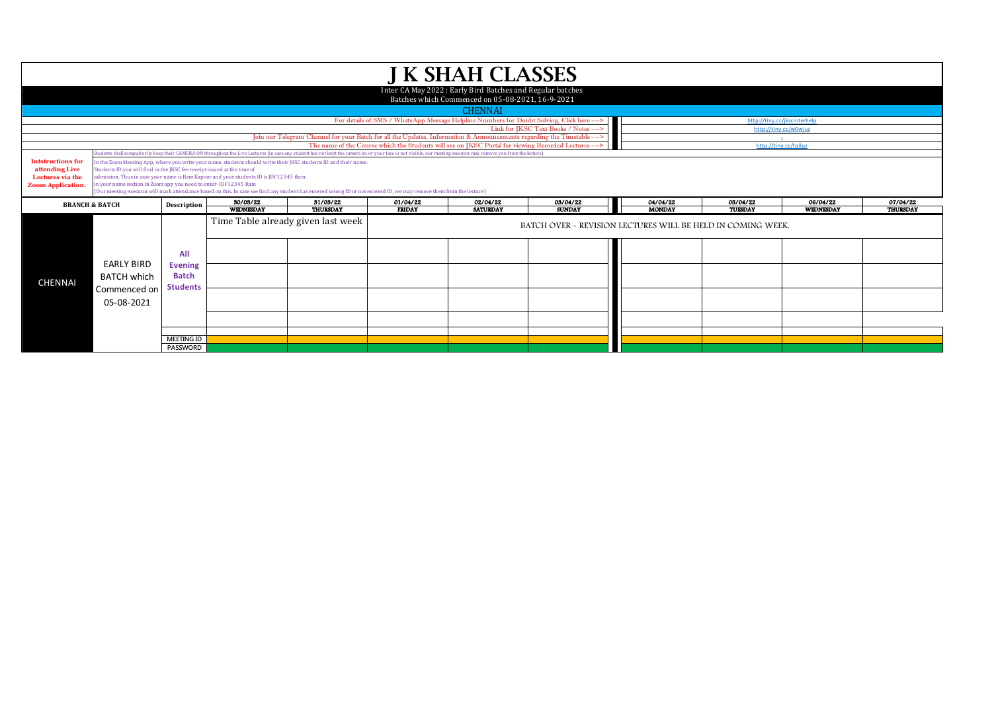|                          |                                                                         |                   |                                                                                       |                                                                                                                                                                                                                  |               | <b>J K SHAH CLASSES</b>                                                                                       |                                                             |               |                       |                              |                 |
|--------------------------|-------------------------------------------------------------------------|-------------------|---------------------------------------------------------------------------------------|------------------------------------------------------------------------------------------------------------------------------------------------------------------------------------------------------------------|---------------|---------------------------------------------------------------------------------------------------------------|-------------------------------------------------------------|---------------|-----------------------|------------------------------|-----------------|
|                          |                                                                         |                   |                                                                                       |                                                                                                                                                                                                                  |               |                                                                                                               |                                                             |               |                       |                              |                 |
|                          |                                                                         |                   |                                                                                       |                                                                                                                                                                                                                  |               | Inter CA May 2022: Early Bird Batches and Regular batches<br>Batches which Commenced on 05-08-2021, 16-9-2021 |                                                             |               |                       |                              |                 |
|                          |                                                                         |                   |                                                                                       |                                                                                                                                                                                                                  |               | <b>CHENNAI</b>                                                                                                |                                                             |               |                       |                              |                 |
|                          |                                                                         |                   |                                                                                       |                                                                                                                                                                                                                  |               | For details of SMS / WhatsApp Message Helpline Numbers for Doubt Solving, Click here --->                     |                                                             |               |                       | http://tinv.cc/ikscinterhelp |                 |
|                          |                                                                         |                   |                                                                                       |                                                                                                                                                                                                                  |               |                                                                                                               | Link for JKSC Text Books / Notes --->                       |               | http://tiny.cc/w0wiuz |                              |                 |
|                          |                                                                         |                   |                                                                                       | Join our Telegram Channel for your Batch for all the Updates, Information & Announcements regarding the Timetable --->                                                                                           |               |                                                                                                               |                                                             |               |                       |                              |                 |
|                          |                                                                         |                   |                                                                                       |                                                                                                                                                                                                                  |               | The name of the Course which the Students will see on JKSC Portal for viewing Recorded Lectures --- >         |                                                             |               | http://tiny.cc/talluz |                              |                 |
| <b>Intstructions for</b> |                                                                         |                   |                                                                                       | Students shall compulsorily keep their CAMERA ON throughout the Live Lectures (in case any student has not kept the camera on or your face is not yisible, our meeting executor may remove you from the lecture) |               |                                                                                                               |                                                             |               |                       |                              |                 |
| attending Live           | Students ID you will find in the JKSC fee receipt issued at the time of |                   |                                                                                       | In the Zoom Meeting App, where you write your name, students should write their JKSC students ID and their name.                                                                                                 |               |                                                                                                               |                                                             |               |                       |                              |                 |
| Lectures via the         |                                                                         |                   | admission. Thus in case your name is Ram Kapoor and your students ID is JDF12345 then |                                                                                                                                                                                                                  |               |                                                                                                               |                                                             |               |                       |                              |                 |
| <b>Zoom Application.</b> | in your name section in Zoom app you need to enter-JDF12345 Ram         |                   |                                                                                       |                                                                                                                                                                                                                  |               |                                                                                                               |                                                             |               |                       |                              |                 |
|                          |                                                                         |                   |                                                                                       | (Our meeting executor will mark attendance based on this. In case we find any student has entered wrong ID or not entered ID, we may remove them from the lecture)                                               |               |                                                                                                               |                                                             |               |                       |                              |                 |
|                          |                                                                         |                   |                                                                                       |                                                                                                                                                                                                                  |               |                                                                                                               |                                                             |               |                       |                              |                 |
|                          | <b>BRANCH &amp; BATCH</b>                                               | Description       | 30/03/22                                                                              | 31/03/22                                                                                                                                                                                                         | 01/04/22      | 02/04/22                                                                                                      | 03/04/22                                                    | 04/04/22      | 05/04/22              | 06/04/22                     | 07/04/22        |
|                          |                                                                         |                   | <b>WEDNESDAY</b>                                                                      | THURSDAY                                                                                                                                                                                                         | <b>FRIDAY</b> | <b>SATURDAY</b>                                                                                               | <b>SUNDAY</b>                                               | <b>MONDAY</b> | TUESDAY               | <b>WEDNESDAY</b>             | <b>THURSDAY</b> |
|                          |                                                                         |                   |                                                                                       | Time Table already given last week                                                                                                                                                                               |               |                                                                                                               |                                                             |               |                       |                              |                 |
|                          |                                                                         |                   |                                                                                       |                                                                                                                                                                                                                  |               |                                                                                                               | BATCH OVER - REVISION LECTURES WILL BE HELD IN COMING WEEK. |               |                       |                              |                 |
|                          |                                                                         |                   |                                                                                       |                                                                                                                                                                                                                  |               |                                                                                                               |                                                             |               |                       |                              |                 |
|                          |                                                                         |                   |                                                                                       |                                                                                                                                                                                                                  |               |                                                                                                               |                                                             |               |                       |                              |                 |
|                          |                                                                         | All               |                                                                                       |                                                                                                                                                                                                                  |               |                                                                                                               |                                                             |               |                       |                              |                 |
|                          | <b>EARLY BIRD</b>                                                       | <b>Evening</b>    |                                                                                       |                                                                                                                                                                                                                  |               |                                                                                                               |                                                             |               |                       |                              |                 |
|                          | <b>BATCH which</b>                                                      | <b>Batch</b>      |                                                                                       |                                                                                                                                                                                                                  |               |                                                                                                               |                                                             |               |                       |                              |                 |
| <b>CHENNAI</b>           | Commenced on                                                            | <b>Students</b>   |                                                                                       |                                                                                                                                                                                                                  |               |                                                                                                               |                                                             |               |                       |                              |                 |
|                          |                                                                         |                   |                                                                                       |                                                                                                                                                                                                                  |               |                                                                                                               |                                                             |               |                       |                              |                 |
|                          | 05-08-2021                                                              |                   |                                                                                       |                                                                                                                                                                                                                  |               |                                                                                                               |                                                             |               |                       |                              |                 |
|                          |                                                                         |                   |                                                                                       |                                                                                                                                                                                                                  |               |                                                                                                               |                                                             |               |                       |                              |                 |
|                          |                                                                         |                   |                                                                                       |                                                                                                                                                                                                                  |               |                                                                                                               |                                                             |               |                       |                              |                 |
|                          |                                                                         | <b>MEETING ID</b> |                                                                                       |                                                                                                                                                                                                                  |               |                                                                                                               |                                                             |               |                       |                              |                 |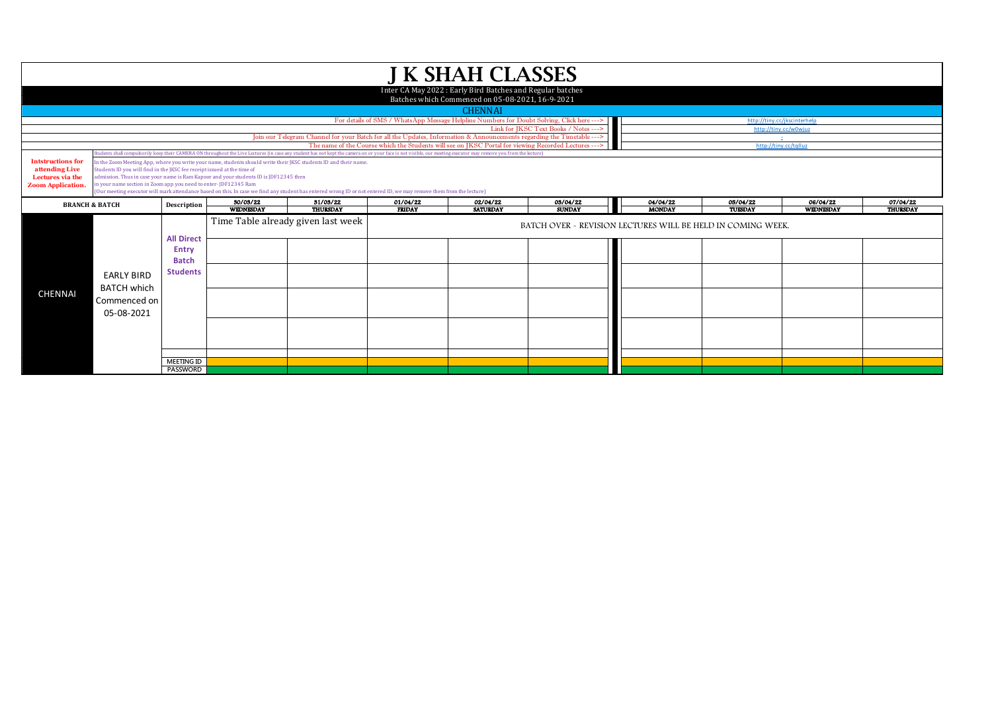|                          |                                                                         |                   |                                                                                       |                                                                                                                                                                                                                |               | <b>J K SHAH CLASSES</b>                                                                               |                                                             |               |          |                              |          |
|--------------------------|-------------------------------------------------------------------------|-------------------|---------------------------------------------------------------------------------------|----------------------------------------------------------------------------------------------------------------------------------------------------------------------------------------------------------------|---------------|-------------------------------------------------------------------------------------------------------|-------------------------------------------------------------|---------------|----------|------------------------------|----------|
|                          |                                                                         |                   |                                                                                       |                                                                                                                                                                                                                |               | Inter CA May 2022: Early Bird Batches and Regular batches                                             |                                                             |               |          |                              |          |
|                          |                                                                         |                   |                                                                                       |                                                                                                                                                                                                                |               | Batches which Commenced on 05-08-2021, 16-9-2021                                                      |                                                             |               |          |                              |          |
|                          |                                                                         |                   |                                                                                       |                                                                                                                                                                                                                |               | <b>CHENNAI</b>                                                                                        |                                                             |               |          |                              |          |
|                          |                                                                         |                   |                                                                                       |                                                                                                                                                                                                                |               | For details of SMS / WhatsApp Message Helpline Numbers for Doubt Solving, Click here --->             |                                                             |               |          | http://tiny.cc/jkscinterhelp |          |
|                          |                                                                         |                   |                                                                                       |                                                                                                                                                                                                                |               |                                                                                                       | Link for IKSC Text Books / Notes --->                       |               |          | http://tiny.cc/w0wiuz        |          |
|                          |                                                                         |                   |                                                                                       | Join our Telegram Channel for your Batch for all the Updates, Information & Announcements regarding the Timetable --->                                                                                         |               |                                                                                                       |                                                             |               |          |                              |          |
|                          |                                                                         |                   |                                                                                       |                                                                                                                                                                                                                |               | The name of the Course which the Students will see on JKSC Portal for viewing Recorded Lectures --- > |                                                             |               |          | http://tinv.cc/tallu         |          |
| <b>Intstructions for</b> |                                                                         |                   |                                                                                       | tudents shall compulsorily keep their CAMERA ON throughout the Live Lectures (in case any student has not kept the camera on or your face is not visible, our meeting executor may remove you from the lecture |               |                                                                                                       |                                                             |               |          |                              |          |
| attending Live           | Students ID you will find in the JKSC fee receipt issued at the time of |                   |                                                                                       | In the Zoom Meeting App, where you write your name, students should write their JKSC students ID and their name.                                                                                               |               |                                                                                                       |                                                             |               |          |                              |          |
| Lectures via the         |                                                                         |                   | admission. Thus in case your name is Ram Kapoor and your students ID is JDF12345 then |                                                                                                                                                                                                                |               |                                                                                                       |                                                             |               |          |                              |          |
| <b>Zoom Application.</b> | in your name section in Zoom app you need to enter-JDF12345 Ram         |                   |                                                                                       |                                                                                                                                                                                                                |               |                                                                                                       |                                                             |               |          |                              |          |
|                          |                                                                         |                   |                                                                                       | (Our meeting executor will mark attendance based on this. In case we find any student has entered wrong ID or not entered ID, we may remove them from the lecture)                                             |               |                                                                                                       |                                                             |               |          |                              |          |
|                          | <b>BRANCH &amp; BATCH</b>                                               | Description       | 30/03/22                                                                              | 31/03/22                                                                                                                                                                                                       | 01/04/22      | 02/04/22                                                                                              | 03/04/22                                                    | 04/04/22      | 05/04/22 | 06/04/22                     | 07/04/22 |
|                          |                                                                         |                   | WEDNESDAY                                                                             | THURSDAY                                                                                                                                                                                                       | <b>FRIDAY</b> | <b>SATURDAY</b>                                                                                       | <b>SUNDAY</b>                                               | <b>MONDAY</b> | TUESDAY  | WEDNESDAY                    | THURSDAY |
|                          |                                                                         |                   |                                                                                       |                                                                                                                                                                                                                |               |                                                                                                       |                                                             |               |          |                              |          |
|                          |                                                                         |                   |                                                                                       | Time Table already given last week                                                                                                                                                                             |               |                                                                                                       |                                                             |               |          |                              |          |
|                          |                                                                         |                   |                                                                                       |                                                                                                                                                                                                                |               |                                                                                                       | BATCH OVER - REVISION LECTURES WILL BE HELD IN COMING WEEK. |               |          |                              |          |
|                          |                                                                         | <b>All Direct</b> |                                                                                       |                                                                                                                                                                                                                |               |                                                                                                       |                                                             |               |          |                              |          |
|                          |                                                                         | Entry             |                                                                                       |                                                                                                                                                                                                                |               |                                                                                                       |                                                             |               |          |                              |          |
|                          |                                                                         |                   |                                                                                       |                                                                                                                                                                                                                |               |                                                                                                       |                                                             |               |          |                              |          |
|                          |                                                                         | <b>Batch</b>      |                                                                                       |                                                                                                                                                                                                                |               |                                                                                                       |                                                             |               |          |                              |          |
|                          | <b>EARLY BIRD</b>                                                       | <b>Students</b>   |                                                                                       |                                                                                                                                                                                                                |               |                                                                                                       |                                                             |               |          |                              |          |
|                          |                                                                         |                   |                                                                                       |                                                                                                                                                                                                                |               |                                                                                                       |                                                             |               |          |                              |          |
| <b>CHENNAI</b>           | <b>BATCH which</b>                                                      |                   |                                                                                       |                                                                                                                                                                                                                |               |                                                                                                       |                                                             |               |          |                              |          |
|                          | Commenced on                                                            |                   |                                                                                       |                                                                                                                                                                                                                |               |                                                                                                       |                                                             |               |          |                              |          |
|                          | 05-08-2021                                                              |                   |                                                                                       |                                                                                                                                                                                                                |               |                                                                                                       |                                                             |               |          |                              |          |
|                          |                                                                         |                   |                                                                                       |                                                                                                                                                                                                                |               |                                                                                                       |                                                             |               |          |                              |          |
|                          |                                                                         |                   |                                                                                       |                                                                                                                                                                                                                |               |                                                                                                       |                                                             |               |          |                              |          |
|                          |                                                                         |                   |                                                                                       |                                                                                                                                                                                                                |               |                                                                                                       |                                                             |               |          |                              |          |
|                          |                                                                         |                   |                                                                                       |                                                                                                                                                                                                                |               |                                                                                                       |                                                             |               |          |                              |          |
|                          |                                                                         | <b>MEETING ID</b> |                                                                                       |                                                                                                                                                                                                                |               |                                                                                                       |                                                             |               |          |                              |          |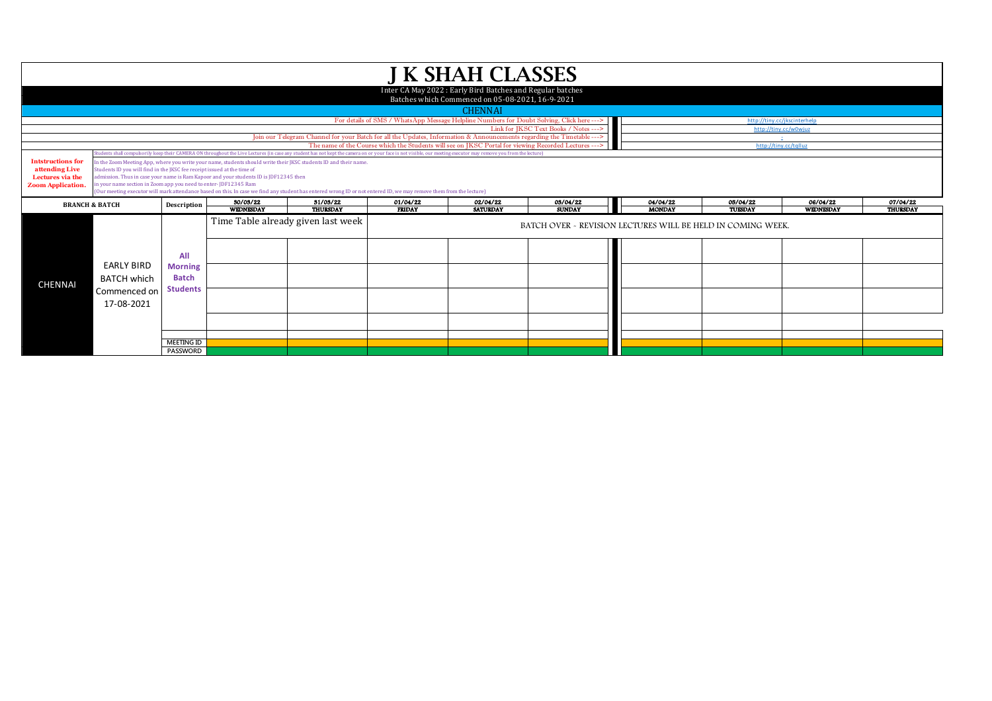|                                                                                            |                                                                                                                                            |                                                   |                                                                                                                                                                                                           |                                                                                                                                                                                                                                                                                                                                                                                       |                           | <b>J K SHAH CLASSES</b>                                                                               |                                                                                                                                    |                           |                     |                                                       |                             |
|--------------------------------------------------------------------------------------------|--------------------------------------------------------------------------------------------------------------------------------------------|---------------------------------------------------|-----------------------------------------------------------------------------------------------------------------------------------------------------------------------------------------------------------|---------------------------------------------------------------------------------------------------------------------------------------------------------------------------------------------------------------------------------------------------------------------------------------------------------------------------------------------------------------------------------------|---------------------------|-------------------------------------------------------------------------------------------------------|------------------------------------------------------------------------------------------------------------------------------------|---------------------------|---------------------|-------------------------------------------------------|-----------------------------|
|                                                                                            |                                                                                                                                            |                                                   |                                                                                                                                                                                                           |                                                                                                                                                                                                                                                                                                                                                                                       |                           | Inter CA May 2022: Early Bird Batches and Regular batches                                             |                                                                                                                                    |                           |                     |                                                       |                             |
|                                                                                            |                                                                                                                                            |                                                   |                                                                                                                                                                                                           |                                                                                                                                                                                                                                                                                                                                                                                       |                           | Batches which Commenced on 05-08-2021, 16-9-2021                                                      |                                                                                                                                    |                           |                     |                                                       |                             |
|                                                                                            |                                                                                                                                            |                                                   |                                                                                                                                                                                                           |                                                                                                                                                                                                                                                                                                                                                                                       |                           | <b>CHENNAI</b>                                                                                        |                                                                                                                                    |                           |                     |                                                       |                             |
|                                                                                            |                                                                                                                                            |                                                   |                                                                                                                                                                                                           |                                                                                                                                                                                                                                                                                                                                                                                       |                           |                                                                                                       | For details of SMS / WhatsApp Message Helpline Numbers for Doubt Solving, Click here ---><br>Link for IKSC Text Books / Notes ---> |                           |                     | http://tiny.cc/jkscinterhelp<br>http://tiny.cc/w0wiuz |                             |
|                                                                                            |                                                                                                                                            |                                                   |                                                                                                                                                                                                           | Join our Telegram Channel for your Batch for all the Updates, Information & Announcements regarding the Timetable --->                                                                                                                                                                                                                                                                |                           |                                                                                                       |                                                                                                                                    |                           |                     |                                                       |                             |
|                                                                                            |                                                                                                                                            |                                                   |                                                                                                                                                                                                           |                                                                                                                                                                                                                                                                                                                                                                                       |                           | The name of the Course which the Students will see on JKSC Portal for viewing Recorded Lectures --- > |                                                                                                                                    |                           |                     | http://tinv.cc/talluz                                 |                             |
| <b>Intstructions for</b><br>attending Live<br>Lectures via the<br><b>Zoom Application.</b> | Students ID you will find in the IKSC fee receipt issued at the time of<br>in your name section in Zoom app you need to enter-JDF12345 Ram |                                                   | In the Zoom Meeting App, where you write your name, students should write their JKSC students ID and their name.<br>admission. Thus in case your name is Ram Kapoor and your students ID is JDF12345 then | tudents shall compulsorily keep their CAMERA ON throughout the Live Lectures (in case any student has not kept the camera on or your face is not visible, our meeting executor may remove you from the lecture)<br>(Our meeting executor will mark attendance based on this. In case we find any student has entered wrong ID or not entered ID, we may remove them from the lecture) |                           |                                                                                                       |                                                                                                                                    |                           |                     |                                                       |                             |
|                                                                                            | <b>BRANCH &amp; BATCH</b>                                                                                                                  | Description                                       | 30/03/22<br><b>WEDNESDAY</b>                                                                                                                                                                              | 31/03/22<br><b>THURSDAY</b>                                                                                                                                                                                                                                                                                                                                                           | 01/04/22<br><b>FRIDAY</b> | 02/04/22<br><b>SATURDAY</b>                                                                           | 03/04/22<br><b>SUNDAY</b>                                                                                                          | 04/04/22<br><b>MONDAY</b> | 05/04/22<br>TUESDAY | 06/04/22<br>WEDNESDAY                                 | 07/04/22<br><b>THURSDAY</b> |
|                                                                                            |                                                                                                                                            |                                                   | Time Table already given last week                                                                                                                                                                        |                                                                                                                                                                                                                                                                                                                                                                                       |                           |                                                                                                       | BATCH OVER - REVISION LECTURES WILL BE HELD IN COMING WEEK.                                                                        |                           |                     |                                                       |                             |
|                                                                                            |                                                                                                                                            | All                                               |                                                                                                                                                                                                           |                                                                                                                                                                                                                                                                                                                                                                                       |                           |                                                                                                       |                                                                                                                                    |                           |                     |                                                       |                             |
| <b>CHENNAI</b>                                                                             | <b>EARLY BIRD</b><br><b>BATCH which</b>                                                                                                    | <b>Morning</b><br><b>Batch</b><br><b>Students</b> |                                                                                                                                                                                                           |                                                                                                                                                                                                                                                                                                                                                                                       |                           |                                                                                                       |                                                                                                                                    |                           |                     |                                                       |                             |
|                                                                                            | Commenced on<br>17-08-2021                                                                                                                 |                                                   |                                                                                                                                                                                                           |                                                                                                                                                                                                                                                                                                                                                                                       |                           |                                                                                                       |                                                                                                                                    |                           |                     |                                                       |                             |
|                                                                                            |                                                                                                                                            |                                                   |                                                                                                                                                                                                           |                                                                                                                                                                                                                                                                                                                                                                                       |                           |                                                                                                       |                                                                                                                                    |                           |                     |                                                       |                             |
|                                                                                            |                                                                                                                                            | <b>MEETING ID</b>                                 |                                                                                                                                                                                                           |                                                                                                                                                                                                                                                                                                                                                                                       |                           |                                                                                                       |                                                                                                                                    |                           |                     |                                                       |                             |
|                                                                                            |                                                                                                                                            | PASSWORD                                          |                                                                                                                                                                                                           |                                                                                                                                                                                                                                                                                                                                                                                       |                           |                                                                                                       |                                                                                                                                    |                           |                     |                                                       |                             |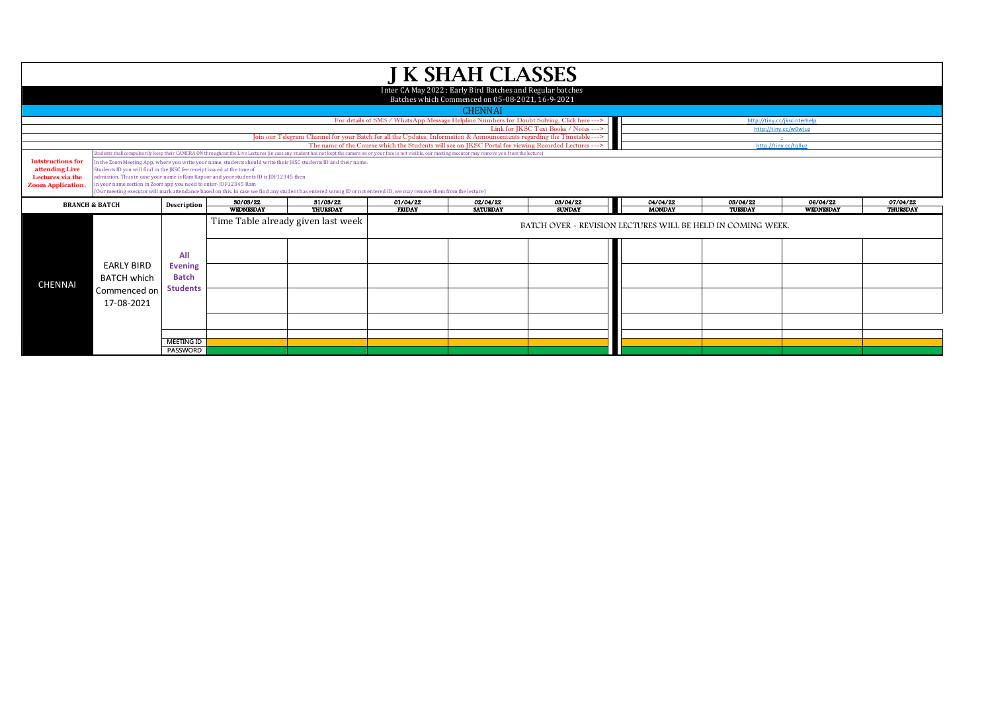|                                            |                                                                         |                               |                                                                                       |                                                                                                                                                                                                                 |                           | <b>J K SHAH CLASSES</b>                                                                               |                                                             |                           |                       |                              |                             |
|--------------------------------------------|-------------------------------------------------------------------------|-------------------------------|---------------------------------------------------------------------------------------|-----------------------------------------------------------------------------------------------------------------------------------------------------------------------------------------------------------------|---------------------------|-------------------------------------------------------------------------------------------------------|-------------------------------------------------------------|---------------------------|-----------------------|------------------------------|-----------------------------|
|                                            |                                                                         |                               |                                                                                       |                                                                                                                                                                                                                 |                           | Inter CA May 2022: Early Bird Batches and Regular batches                                             |                                                             |                           |                       |                              |                             |
|                                            |                                                                         |                               |                                                                                       |                                                                                                                                                                                                                 |                           | Batches which Commenced on 05-08-2021, 16-9-2021                                                      |                                                             |                           |                       |                              |                             |
|                                            |                                                                         |                               |                                                                                       |                                                                                                                                                                                                                 |                           | <b>CHENNAI</b>                                                                                        |                                                             |                           |                       |                              |                             |
|                                            |                                                                         |                               |                                                                                       |                                                                                                                                                                                                                 |                           | For details of SMS / WhatsApp Message Helpline Numbers for Doubt Solving, Click here --->             | Link for JKSC Text Books / Notes --->                       |                           |                       | http://tinv.cc/ikscinterhelp |                             |
|                                            |                                                                         |                               |                                                                                       | Join our Telegram Channel for your Batch for all the Updates, Information & Announcements regarding the Timetable --->                                                                                          |                           |                                                                                                       |                                                             |                           |                       | http://tiny.cc/w0wjuz        |                             |
|                                            |                                                                         |                               |                                                                                       |                                                                                                                                                                                                                 |                           | The name of the Course which the Students will see on JKSC Portal for viewing Recorded Lectures --- > |                                                             |                           | http://tinv.cc/tallu: |                              |                             |
|                                            |                                                                         |                               |                                                                                       | tudents shall compulsorily keep their CAMERA ON throughout the Live Lectures (in case any student has not kept the camera on or your face is not visible, our meeting executor may remove you from the lecture) |                           |                                                                                                       |                                                             |                           |                       |                              |                             |
| <b>Intstructions for</b><br>attending Live | Students ID you will find in the JKSC fee receipt issued at the time of |                               |                                                                                       | In the Zoom Meeting App, where you write your name, students should write their JKSC students ID and their name.                                                                                                |                           |                                                                                                       |                                                             |                           |                       |                              |                             |
| Lectures via the                           |                                                                         |                               | admission. Thus in case your name is Ram Kapoor and your students ID is [DF12345 then |                                                                                                                                                                                                                 |                           |                                                                                                       |                                                             |                           |                       |                              |                             |
| <b>Zoom Application.</b>                   | in your name section in Zoom app you need to enter-JDF12345 Ram         |                               |                                                                                       |                                                                                                                                                                                                                 |                           |                                                                                                       |                                                             |                           |                       |                              |                             |
|                                            |                                                                         |                               |                                                                                       | (Our meeting executor will mark attendance based on this. In case we find any student has entered wrong ID or not entered ID, we may remove them from the lecture)                                              |                           |                                                                                                       |                                                             |                           |                       |                              |                             |
|                                            |                                                                         |                               |                                                                                       |                                                                                                                                                                                                                 |                           |                                                                                                       |                                                             |                           |                       |                              |                             |
|                                            | <b>BRANCH &amp; BATCH</b>                                               | Description                   | 30/03/22<br><b>WEDNESDAY</b>                                                          | 31/03/22<br>THURSDAY                                                                                                                                                                                            | 01/04/22<br><b>FRIDAY</b> | 02/04/22<br><b>SATURDAY</b>                                                                           | 03/04/22<br><b>SUNDAY</b>                                   | 04/04/22<br><b>MONDAY</b> | 05/04/22<br>TUESDAY   | 06/04/22<br><b>WEDNESDAY</b> | 07/04/22<br><b>THURSDAY</b> |
|                                            |                                                                         |                               |                                                                                       |                                                                                                                                                                                                                 |                           |                                                                                                       |                                                             |                           |                       |                              |                             |
|                                            |                                                                         |                               |                                                                                       | Time Table already given last week                                                                                                                                                                              |                           |                                                                                                       | BATCH OVER - REVISION LECTURES WILL BE HELD IN COMING WEEK. |                           |                       |                              |                             |
|                                            |                                                                         |                               |                                                                                       |                                                                                                                                                                                                                 |                           |                                                                                                       |                                                             |                           |                       |                              |                             |
|                                            |                                                                         |                               |                                                                                       |                                                                                                                                                                                                                 |                           |                                                                                                       |                                                             |                           |                       |                              |                             |
|                                            |                                                                         | All                           |                                                                                       |                                                                                                                                                                                                                 |                           |                                                                                                       |                                                             |                           |                       |                              |                             |
|                                            | <b>EARLY BIRD</b>                                                       | <b>Evening</b>                |                                                                                       |                                                                                                                                                                                                                 |                           |                                                                                                       |                                                             |                           |                       |                              |                             |
|                                            | <b>BATCH which</b>                                                      | <b>Batch</b>                  |                                                                                       |                                                                                                                                                                                                                 |                           |                                                                                                       |                                                             |                           |                       |                              |                             |
| <b>CHENNAI</b>                             | Commenced on                                                            | <b>Students</b>               |                                                                                       |                                                                                                                                                                                                                 |                           |                                                                                                       |                                                             |                           |                       |                              |                             |
|                                            | 17-08-2021                                                              |                               |                                                                                       |                                                                                                                                                                                                                 |                           |                                                                                                       |                                                             |                           |                       |                              |                             |
|                                            |                                                                         |                               |                                                                                       |                                                                                                                                                                                                                 |                           |                                                                                                       |                                                             |                           |                       |                              |                             |
|                                            |                                                                         |                               |                                                                                       |                                                                                                                                                                                                                 |                           |                                                                                                       |                                                             |                           |                       |                              |                             |
|                                            |                                                                         |                               |                                                                                       |                                                                                                                                                                                                                 |                           |                                                                                                       |                                                             |                           |                       |                              |                             |
|                                            |                                                                         | <b>MEETING ID</b><br>PASSWORD |                                                                                       |                                                                                                                                                                                                                 |                           |                                                                                                       |                                                             |                           |                       |                              |                             |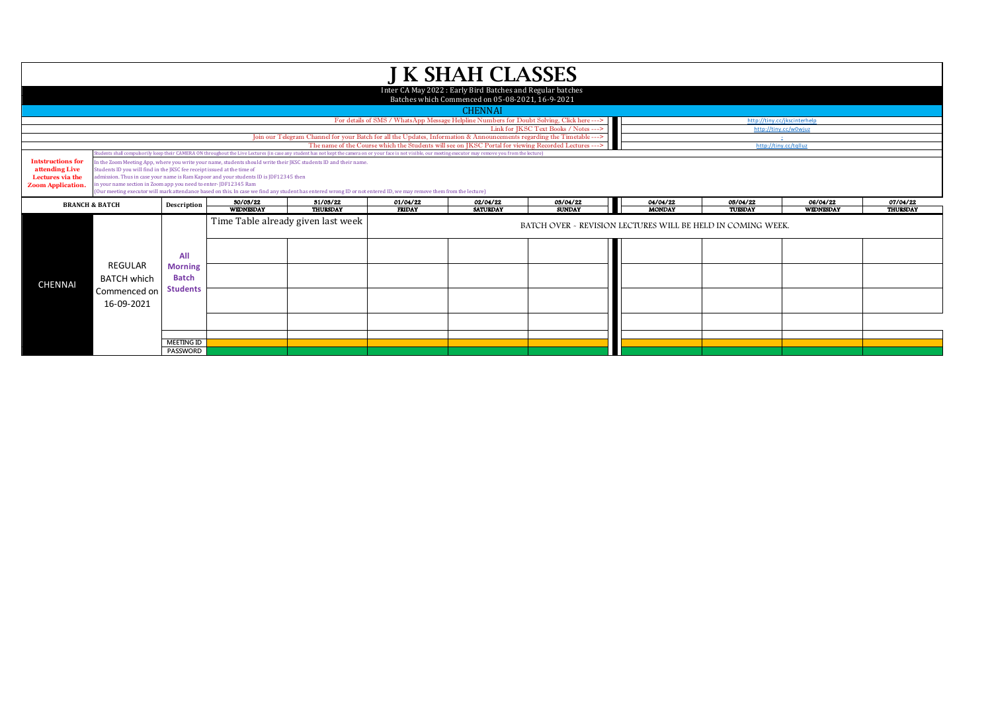|                                                                                            |                                                                                                                                            |                                                   |                                                                                       |                                                                                                                                                                                                                                                                                        |                           | <b>J K SHAH CLASSES</b>                                                                               |                                                                                           |                           |                     |                              |                             |
|--------------------------------------------------------------------------------------------|--------------------------------------------------------------------------------------------------------------------------------------------|---------------------------------------------------|---------------------------------------------------------------------------------------|----------------------------------------------------------------------------------------------------------------------------------------------------------------------------------------------------------------------------------------------------------------------------------------|---------------------------|-------------------------------------------------------------------------------------------------------|-------------------------------------------------------------------------------------------|---------------------------|---------------------|------------------------------|-----------------------------|
|                                                                                            |                                                                                                                                            |                                                   |                                                                                       |                                                                                                                                                                                                                                                                                        |                           | Inter CA May 2022: Early Bird Batches and Regular batches                                             |                                                                                           |                           |                     |                              |                             |
|                                                                                            |                                                                                                                                            |                                                   |                                                                                       |                                                                                                                                                                                                                                                                                        |                           | Batches which Commenced on 05-08-2021, 16-9-2021<br><b>CHENNAI</b>                                    |                                                                                           |                           |                     |                              |                             |
|                                                                                            |                                                                                                                                            |                                                   |                                                                                       |                                                                                                                                                                                                                                                                                        |                           |                                                                                                       | For details of SMS / WhatsApp Message Helpline Numbers for Doubt Solving, Click here ---> |                           |                     | http://tiny.cc/jkscinterhelp |                             |
|                                                                                            |                                                                                                                                            |                                                   |                                                                                       |                                                                                                                                                                                                                                                                                        |                           |                                                                                                       | Link for IKSC Text Books / Notes --->                                                     |                           |                     | http://tiny.cc/w0wiuz        |                             |
|                                                                                            |                                                                                                                                            |                                                   |                                                                                       | Join our Telegram Channel for your Batch for all the Updates, Information & Announcements regarding the Timetable --->                                                                                                                                                                 |                           |                                                                                                       |                                                                                           |                           |                     |                              |                             |
|                                                                                            |                                                                                                                                            |                                                   |                                                                                       | tudents shall compulsorily keep their CAMERA ON throughout the Live Lectures (in case any student has not kept the camera on or your face is not visible, our meeting executor may remove you from the lecture)                                                                        |                           | The name of the Course which the Students will see on JKSC Portal for viewing Recorded Lectures --- > |                                                                                           |                           |                     | http://tinv.cc/talluz        |                             |
| <b>Intstructions for</b><br>attending Live<br>Lectures via the<br><b>Zoom Application.</b> | Students ID you will find in the IKSC fee receipt issued at the time of<br>in your name section in Zoom app you need to enter-JDF12345 Ram |                                                   | admission. Thus in case your name is Ram Kapoor and your students ID is JDF12345 then | In the Zoom Meeting App, where you write your name, students should write their JKSC students ID and their name.<br>(Our meeting executor will mark attendance based on this. In case we find any student has entered wrong ID or not entered ID, we may remove them from the lecture) |                           |                                                                                                       |                                                                                           |                           |                     |                              |                             |
|                                                                                            | <b>BRANCH &amp; BATCH</b>                                                                                                                  | Description                                       | 30/03/22<br><b>WEDNESDAY</b>                                                          | 31/03/22<br><b>THURSDAY</b>                                                                                                                                                                                                                                                            | 01/04/22<br><b>FRIDAY</b> | 02/04/22<br><b>SATURDAY</b>                                                                           | 03/04/22<br><b>SUNDAY</b>                                                                 | 04/04/22<br><b>MONDAY</b> | 05/04/22<br>TUESDAY | 06/04/22<br>WEDNESDAY        | 07/04/22<br><b>THURSDAY</b> |
|                                                                                            |                                                                                                                                            |                                                   |                                                                                       | Time Table already given last week                                                                                                                                                                                                                                                     |                           |                                                                                                       | BATCH OVER - REVISION LECTURES WILL BE HELD IN COMING WEEK.                               |                           |                     |                              |                             |
|                                                                                            |                                                                                                                                            | All                                               |                                                                                       |                                                                                                                                                                                                                                                                                        |                           |                                                                                                       |                                                                                           |                           |                     |                              |                             |
| <b>CHENNAI</b>                                                                             | <b>REGULAR</b><br><b>BATCH which</b>                                                                                                       | <b>Morning</b><br><b>Batch</b><br><b>Students</b> |                                                                                       |                                                                                                                                                                                                                                                                                        |                           |                                                                                                       |                                                                                           |                           |                     |                              |                             |
|                                                                                            | Commenced on<br>16-09-2021                                                                                                                 |                                                   |                                                                                       |                                                                                                                                                                                                                                                                                        |                           |                                                                                                       |                                                                                           |                           |                     |                              |                             |
|                                                                                            |                                                                                                                                            |                                                   |                                                                                       |                                                                                                                                                                                                                                                                                        |                           |                                                                                                       |                                                                                           |                           |                     |                              |                             |
|                                                                                            |                                                                                                                                            | <b>MEETING ID</b>                                 |                                                                                       |                                                                                                                                                                                                                                                                                        |                           |                                                                                                       |                                                                                           |                           |                     |                              |                             |
|                                                                                            |                                                                                                                                            | PASSWORD                                          |                                                                                       |                                                                                                                                                                                                                                                                                        |                           |                                                                                                       |                                                                                           |                           |                     |                              |                             |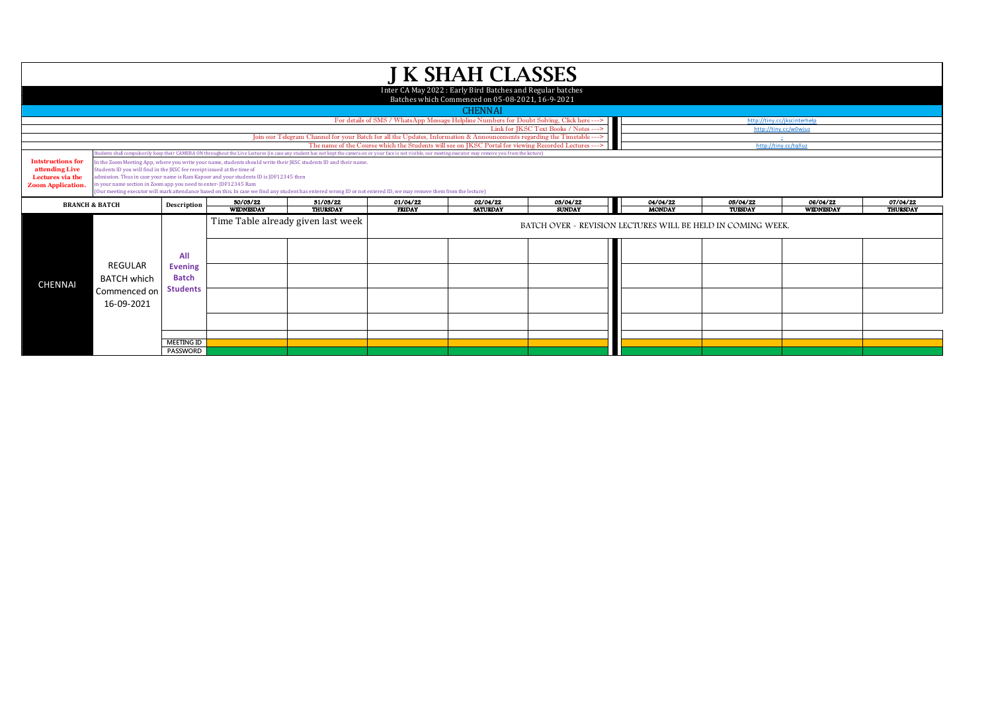|                                                                                            |                                                                                                                                            |                                                   |                                                                                       |                                                                                                                                                                                                                                                                                                                                                                                                                                                                                                           |                           | <b>J K SHAH CLASSES</b>                                                                               |                                                                                                                                    |                           |                     |                                                       |                             |
|--------------------------------------------------------------------------------------------|--------------------------------------------------------------------------------------------------------------------------------------------|---------------------------------------------------|---------------------------------------------------------------------------------------|-----------------------------------------------------------------------------------------------------------------------------------------------------------------------------------------------------------------------------------------------------------------------------------------------------------------------------------------------------------------------------------------------------------------------------------------------------------------------------------------------------------|---------------------------|-------------------------------------------------------------------------------------------------------|------------------------------------------------------------------------------------------------------------------------------------|---------------------------|---------------------|-------------------------------------------------------|-----------------------------|
|                                                                                            |                                                                                                                                            |                                                   |                                                                                       |                                                                                                                                                                                                                                                                                                                                                                                                                                                                                                           |                           | Inter CA May 2022: Early Bird Batches and Regular batches                                             |                                                                                                                                    |                           |                     |                                                       |                             |
|                                                                                            |                                                                                                                                            |                                                   |                                                                                       |                                                                                                                                                                                                                                                                                                                                                                                                                                                                                                           |                           | Batches which Commenced on 05-08-2021, 16-9-2021                                                      |                                                                                                                                    |                           |                     |                                                       |                             |
|                                                                                            |                                                                                                                                            |                                                   |                                                                                       |                                                                                                                                                                                                                                                                                                                                                                                                                                                                                                           |                           | <b>CHENNAI</b>                                                                                        |                                                                                                                                    |                           |                     |                                                       |                             |
|                                                                                            |                                                                                                                                            |                                                   |                                                                                       |                                                                                                                                                                                                                                                                                                                                                                                                                                                                                                           |                           |                                                                                                       | For details of SMS / WhatsApp Message Helpline Numbers for Doubt Solving, Click here ---><br>Link for IKSC Text Books / Notes ---> |                           |                     | http://tiny.cc/jkscinterhelp<br>http://tiny.cc/w0wiuz |                             |
|                                                                                            |                                                                                                                                            |                                                   |                                                                                       | Join our Telegram Channel for your Batch for all the Updates, Information & Announcements regarding the Timetable --->                                                                                                                                                                                                                                                                                                                                                                                    |                           |                                                                                                       |                                                                                                                                    |                           |                     |                                                       |                             |
|                                                                                            |                                                                                                                                            |                                                   |                                                                                       |                                                                                                                                                                                                                                                                                                                                                                                                                                                                                                           |                           | The name of the Course which the Students will see on JKSC Portal for viewing Recorded Lectures --- > |                                                                                                                                    |                           |                     | http://tinv.cc/talluz                                 |                             |
| <b>Intstructions for</b><br>attending Live<br>Lectures via the<br><b>Zoom Application.</b> | Students ID you will find in the IKSC fee receipt issued at the time of<br>in your name section in Zoom app you need to enter-JDF12345 Ram |                                                   | admission. Thus in case your name is Ram Kapoor and your students ID is JDF12345 then | tudents shall compulsorily keep their CAMERA ON throughout the Live Lectures (in case any student has not kept the camera on or your face is not visible, our meeting executor may remove you from the lecture)<br>In the Zoom Meeting App, where you write your name, students should write their JKSC students ID and their name.<br>(Our meeting executor will mark attendance based on this. In case we find any student has entered wrong ID or not entered ID, we may remove them from the lecture) |                           |                                                                                                       |                                                                                                                                    |                           |                     |                                                       |                             |
|                                                                                            | <b>BRANCH &amp; BATCH</b>                                                                                                                  | Description                                       | 30/03/22<br><b>WEDNESDAY</b>                                                          | 31/03/22<br><b>THURSDAY</b>                                                                                                                                                                                                                                                                                                                                                                                                                                                                               | 01/04/22<br><b>FRIDAY</b> | 02/04/22<br><b>SATURDAY</b>                                                                           | 03/04/22<br><b>SUNDAY</b>                                                                                                          | 04/04/22<br><b>MONDAY</b> | 05/04/22<br>TUESDAY | 06/04/22<br>WEDNESDAY                                 | 07/04/22<br><b>THURSDAY</b> |
|                                                                                            |                                                                                                                                            |                                                   |                                                                                       | Time Table already given last week                                                                                                                                                                                                                                                                                                                                                                                                                                                                        |                           |                                                                                                       | BATCH OVER - REVISION LECTURES WILL BE HELD IN COMING WEEK.                                                                        |                           |                     |                                                       |                             |
|                                                                                            |                                                                                                                                            | All                                               |                                                                                       |                                                                                                                                                                                                                                                                                                                                                                                                                                                                                                           |                           |                                                                                                       |                                                                                                                                    |                           |                     |                                                       |                             |
| <b>CHENNAI</b>                                                                             | REGULAR<br><b>BATCH which</b>                                                                                                              | <b>Evening</b><br><b>Batch</b><br><b>Students</b> |                                                                                       |                                                                                                                                                                                                                                                                                                                                                                                                                                                                                                           |                           |                                                                                                       |                                                                                                                                    |                           |                     |                                                       |                             |
|                                                                                            | Commenced on<br>16-09-2021                                                                                                                 |                                                   |                                                                                       |                                                                                                                                                                                                                                                                                                                                                                                                                                                                                                           |                           |                                                                                                       |                                                                                                                                    |                           |                     |                                                       |                             |
|                                                                                            |                                                                                                                                            |                                                   |                                                                                       |                                                                                                                                                                                                                                                                                                                                                                                                                                                                                                           |                           |                                                                                                       |                                                                                                                                    |                           |                     |                                                       |                             |
|                                                                                            |                                                                                                                                            | <b>MEETING ID</b>                                 |                                                                                       |                                                                                                                                                                                                                                                                                                                                                                                                                                                                                                           |                           |                                                                                                       |                                                                                                                                    |                           |                     |                                                       |                             |
|                                                                                            |                                                                                                                                            | PASSWORD                                          |                                                                                       |                                                                                                                                                                                                                                                                                                                                                                                                                                                                                                           |                           |                                                                                                       |                                                                                                                                    |                           |                     |                                                       |                             |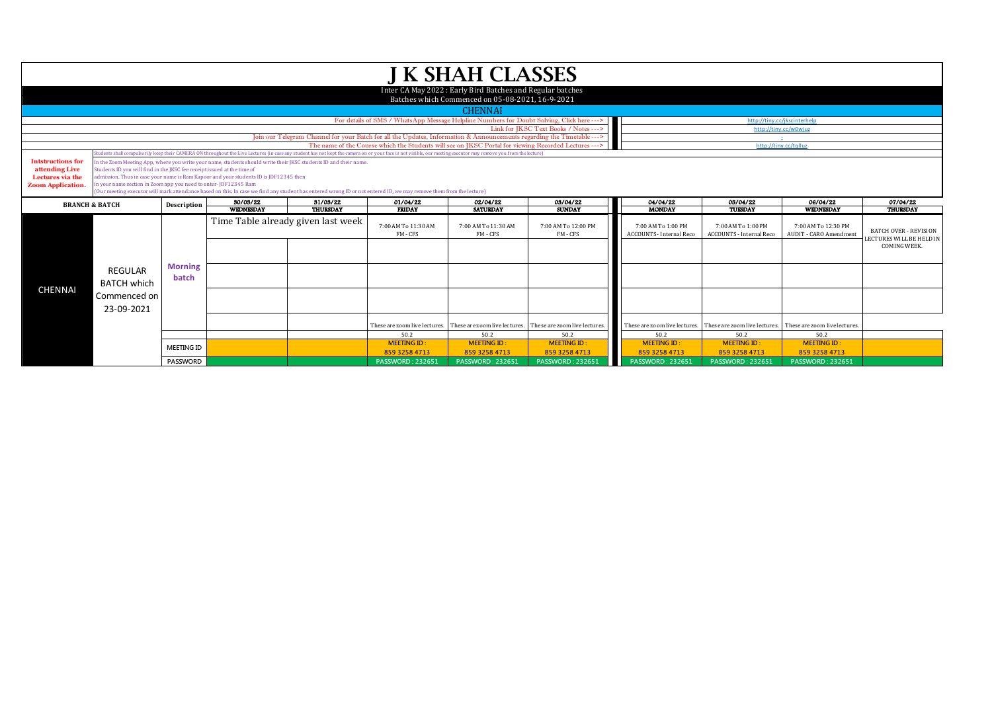|                                                                                            |                                                                                                                                            |                         |                                                                                       |                                                                                                                                                                                                                                                                                        |                                       | <b>J K SHAH CLASSES</b>                                                                                       |                                       |                                                |                                                                    |                                                      |                                                                                 |
|--------------------------------------------------------------------------------------------|--------------------------------------------------------------------------------------------------------------------------------------------|-------------------------|---------------------------------------------------------------------------------------|----------------------------------------------------------------------------------------------------------------------------------------------------------------------------------------------------------------------------------------------------------------------------------------|---------------------------------------|---------------------------------------------------------------------------------------------------------------|---------------------------------------|------------------------------------------------|--------------------------------------------------------------------|------------------------------------------------------|---------------------------------------------------------------------------------|
|                                                                                            |                                                                                                                                            |                         |                                                                                       |                                                                                                                                                                                                                                                                                        |                                       | Inter CA May 2022: Early Bird Batches and Regular batches<br>Batches which Commenced on 05-08-2021, 16-9-2021 |                                       |                                                |                                                                    |                                                      |                                                                                 |
|                                                                                            |                                                                                                                                            |                         |                                                                                       |                                                                                                                                                                                                                                                                                        |                                       | <b>CHENNAI</b>                                                                                                |                                       |                                                |                                                                    |                                                      |                                                                                 |
|                                                                                            |                                                                                                                                            |                         |                                                                                       |                                                                                                                                                                                                                                                                                        |                                       | For details of SMS / WhatsApp Message Helpline Numbers for Doubt Solving, Click here --->                     |                                       |                                                |                                                                    | http://tiny.cc/jkscinterhelp                         |                                                                                 |
|                                                                                            |                                                                                                                                            |                         |                                                                                       | Join our Telegram Channel for your Batch for all the Updates, Information & Announcements regarding the Timetable --->                                                                                                                                                                 |                                       |                                                                                                               | Link for JKSC Text Books / Notes ---> |                                                |                                                                    | http://tiny.cc/w0wjuz                                |                                                                                 |
|                                                                                            |                                                                                                                                            |                         |                                                                                       |                                                                                                                                                                                                                                                                                        |                                       | The name of the Course which the Students will see on IKSC Portal for viewing Recorded Lectures --- >         |                                       |                                                |                                                                    | http://tiny.cc/tqlluz                                |                                                                                 |
|                                                                                            |                                                                                                                                            |                         |                                                                                       | Students shall compulsorily keep their CAMERA ON throughout the Live Lectures (in case any student has not kept the camera on or your face is not yisible, our meeting executor may remove you from the lecture                                                                        |                                       |                                                                                                               |                                       |                                                |                                                                    |                                                      |                                                                                 |
| <b>Intstructions for</b><br>attending Live<br>Lectures via the<br><b>Zoom Application.</b> | Students ID you will find in the IKSC fee receipt issued at the time of<br>in your name section in Zoom app you need to enter-JDF12345 Ram |                         | admission. Thus in case your name is Ram Kapoor and your students ID is JDF12345 then | In the Zoom Meeting App, where you write your name, students should write their JKSC students ID and their name.<br>(Our meeting executor will mark attendance based on this. In case we find any student has entered wrong ID or not entered ID, we may remove them from the lecture) |                                       |                                                                                                               |                                       |                                                |                                                                    |                                                      |                                                                                 |
| <b>BRANCH &amp; BATCH</b>                                                                  |                                                                                                                                            | Description             | 30/03/22<br><b>WEDNESDAY</b>                                                          | 31/03/22<br>THURSDAY                                                                                                                                                                                                                                                                   | 01/04/22<br><b>FRIDAY</b>             | 02/04/22<br><b>SATURDAY</b>                                                                                   | 03/04/22<br><b>SUNDAY</b>             | 04/04/22<br><b>MONDAY</b>                      | 05/04/22<br>TUESDAY                                                | 06/04/22<br><b>WEDNESDAY</b>                         | 07/04/22<br>THURSDAY                                                            |
|                                                                                            |                                                                                                                                            |                         |                                                                                       | Time Table already given last week                                                                                                                                                                                                                                                     | 7:00 AM To 11:30 AM<br>FM - CFS       | 7:00 AM To 11:30 AM<br>FM - CFS                                                                               | 7:00 AM To 12:00 PM<br>FM - CFS       | 7:00 AM To 1:00 PM<br>ACCOUNTS - Internal Reco | 7:00 AM To 1:00 PM<br><b>ACCOUNTS - Internal Reco</b>              | 7:00 AM To 12:30 PM<br><b>AUDIT - CARO Amendment</b> | <b>BATCH OVER - REVISION</b><br>LECTURES WILL BE HELD IN<br><b>COMING WEEK.</b> |
| <b>CHENNAI</b>                                                                             | REGULAR<br><b>BATCH which</b><br>Commenced on<br>23-09-2021                                                                                | <b>Morning</b><br>batch |                                                                                       |                                                                                                                                                                                                                                                                                        |                                       |                                                                                                               |                                       |                                                |                                                                    |                                                      |                                                                                 |
|                                                                                            |                                                                                                                                            |                         |                                                                                       |                                                                                                                                                                                                                                                                                        | These are zoom live lectures.<br>50.2 | These are zoom live lectures.<br>50.2                                                                         | These are zoom live lectures<br>50.2  | These are zoom live lectures.<br>50.2          | These are zoom live lectures. These are zoom live lectures<br>50.2 | 50.2                                                 |                                                                                 |
|                                                                                            |                                                                                                                                            | <b>MEETING ID</b>       |                                                                                       |                                                                                                                                                                                                                                                                                        | <b>MEETING ID:</b>                    | <b>MEETING ID:</b>                                                                                            | <b>MEETING ID:</b>                    | <b>MEETING ID:</b>                             | <b>MEETING ID:</b>                                                 | <b>MEETING ID:</b>                                   |                                                                                 |
|                                                                                            |                                                                                                                                            |                         |                                                                                       |                                                                                                                                                                                                                                                                                        | 859 3258 4713                         | 859 3258 4713                                                                                                 | 859 3258 4713                         | 859 3258 4713                                  | 859 3258 4713                                                      | 859 3258 4713                                        |                                                                                 |